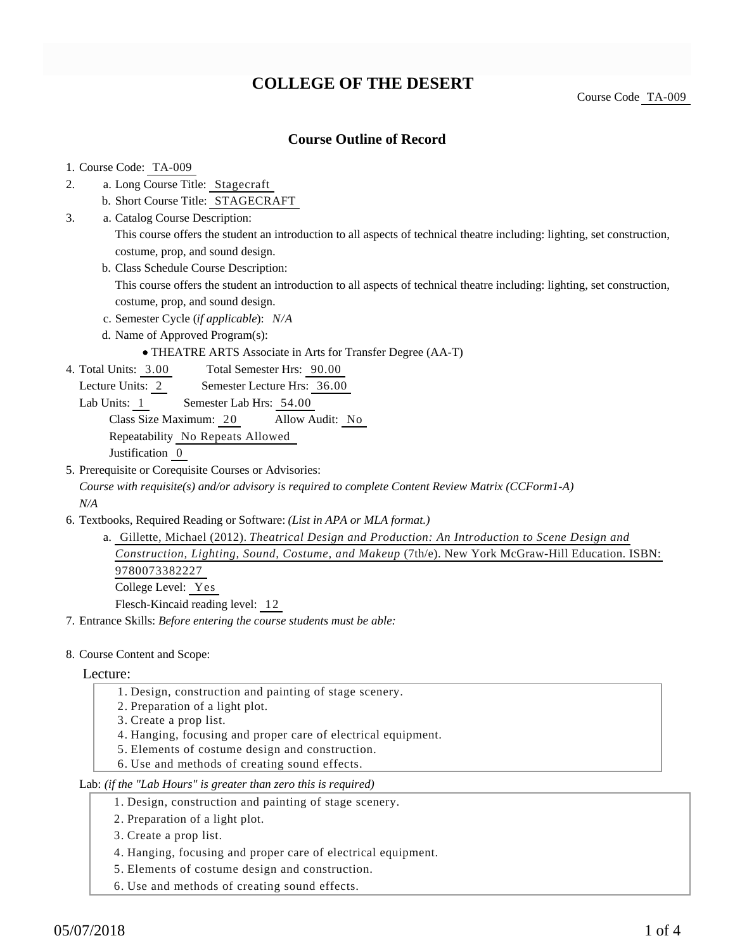## **COLLEGE OF THE DESERT**

### **Course Outline of Record**

#### 1. Course Code: TA-009

- a. Long Course Title: Stagecraft 2.
	- b. Short Course Title: STAGECRAFT
- Catalog Course Description: a. 3.

This course offers the student an introduction to all aspects of technical theatre including: lighting, set construction, costume, prop, and sound design.

b. Class Schedule Course Description:

This course offers the student an introduction to all aspects of technical theatre including: lighting, set construction, costume, prop, and sound design.

- c. Semester Cycle (*if applicable*): *N/A*
- d. Name of Approved Program(s):
	- THEATRE ARTS Associate in Arts for Transfer Degree (AA-T)
- Total Semester Hrs: 90.00 4. Total Units: 3.00
	- Lecture Units: 2 Semester Lecture Hrs: 36.00
	- Lab Units: 1 Semester Lab Hrs: 54.00

Class Size Maximum: 20 Allow Audit: No

Repeatability No Repeats Allowed

Justification 0

5. Prerequisite or Corequisite Courses or Advisories:

*Course with requisite(s) and/or advisory is required to complete Content Review Matrix (CCForm1-A) N/A*

6. Textbooks, Required Reading or Software: (List in APA or MLA format.)

```
a. Gillette, Michael (2012). Theatrical Design and Production: An Introduction to Scene Design and
Construction, Lighting, Sound, Costume, and Makeup (7th/e). New York McGraw-Hill Education. ISBN:
9780073382227
College Level: Yes
Flesch-Kincaid reading level: 12
```
7. Entrance Skills: *Before entering the course students must be able:*

8. Course Content and Scope:

#### Lecture:

- 1. Design, construction and painting of stage scenery.
- 2. Preparation of a light plot.
- 3. Create a prop list.
- 4. Hanging, focusing and proper care of electrical equipment.
- 5. Elements of costume design and construction.
- 6. Use and methods of creating sound effects.

#### Lab: *(if the "Lab Hours" is greater than zero this is required)*

- 1. Design, construction and painting of stage scenery.
- 2. Preparation of a light plot.
- 3. Create a prop list.
- 4. Hanging, focusing and proper care of electrical equipment.
- 5. Elements of costume design and construction.
- 6. Use and methods of creating sound effects.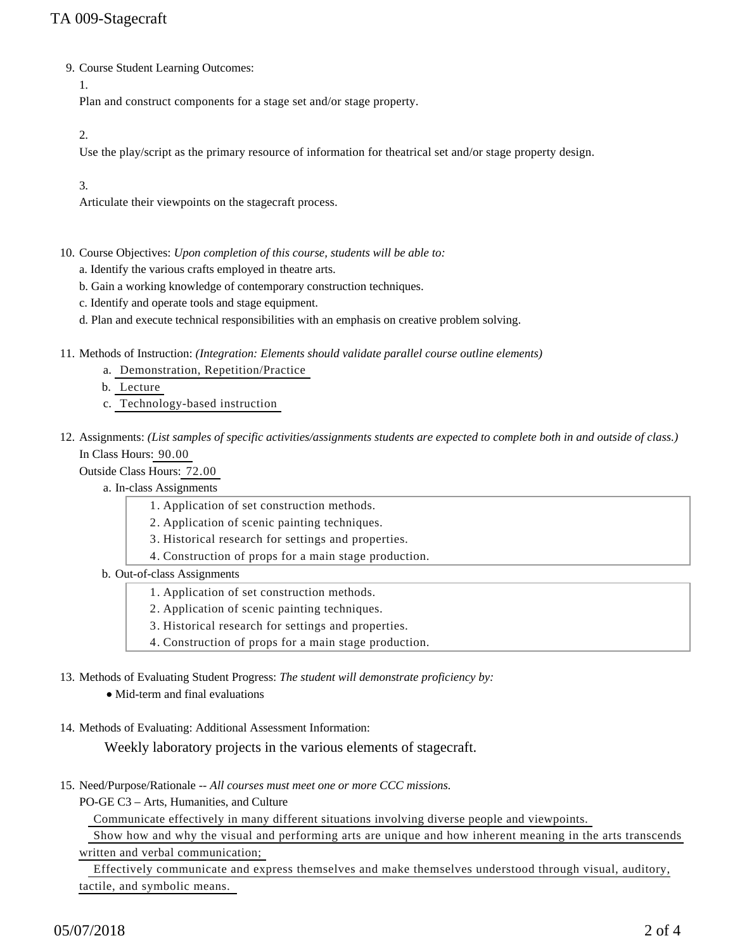## TA 009-Stagecraft

9. Course Student Learning Outcomes:

1.

Plan and construct components for a stage set and/or stage property.

2.

Use the play/script as the primary resource of information for theatrical set and/or stage property design.

3.

Articulate their viewpoints on the stagecraft process.

- 10. Course Objectives: Upon completion of this course, students will be able to:
	- a. Identify the various crafts employed in theatre arts.
	- b. Gain a working knowledge of contemporary construction techniques.
	- c. Identify and operate tools and stage equipment.
	- d. Plan and execute technical responsibilities with an emphasis on creative problem solving.
- 11. Methods of Instruction: *(Integration: Elements should validate parallel course outline elements)* 
	- a. Demonstration, Repetition/Practice
	- b. Lecture
	- c. Technology-based instruction
- 12. Assignments: (List samples of specific activities/assignments students are expected to complete both in and outside of class.) In Class Hours: 90.00

Outside Class Hours: 72.00

- a. In-class Assignments
	- 1. Application of set construction methods.
	- 2. Application of scenic painting techniques.
	- 3. Historical research for settings and properties.
	- 4. Construction of props for a main stage production.
- b. Out-of-class Assignments
	- 1. Application of set construction methods.
	- 2. Application of scenic painting techniques.
	- 3. Historical research for settings and properties.
	- 4. Construction of props for a main stage production.
- 13. Methods of Evaluating Student Progress: The student will demonstrate proficiency by:
	- Mid-term and final evaluations
- 14. Methods of Evaluating: Additional Assessment Information:

Weekly laboratory projects in the various elements of stagecraft.

15. Need/Purpose/Rationale -- All courses must meet one or more CCC missions.

PO-GE C3 – Arts, Humanities, and Culture

Communicate effectively in many different situations involving diverse people and viewpoints.

 Show how and why the visual and performing arts are unique and how inherent meaning in the arts transcends written and verbal communication;

 Effectively communicate and express themselves and make themselves understood through visual, auditory, tactile, and symbolic means.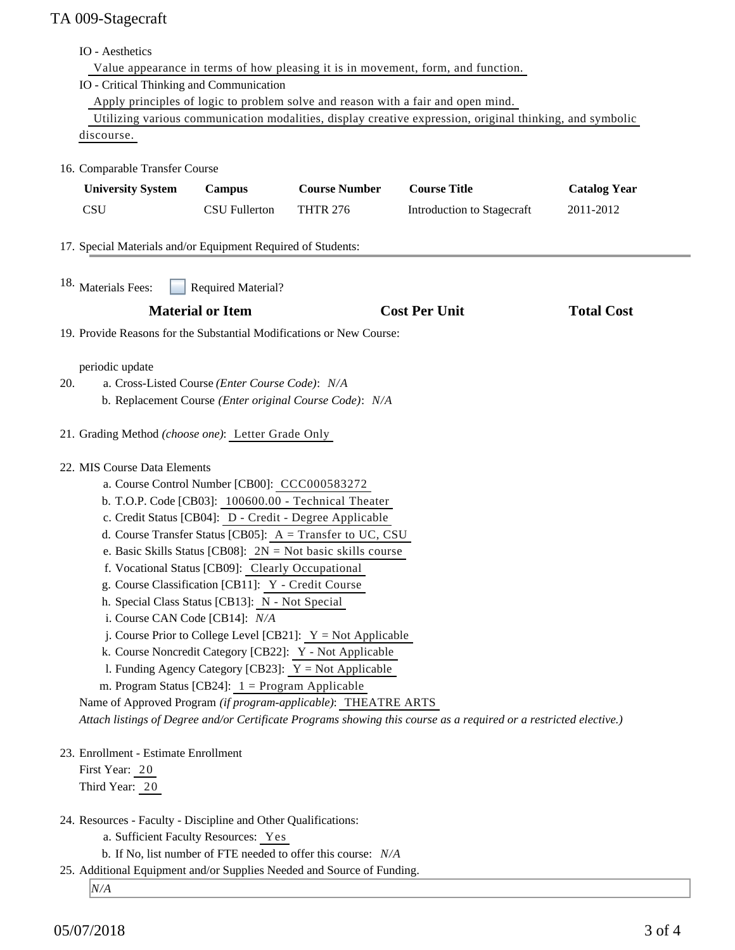# TA 009-Stagecraft

|                                                                                                                    | IO - Aesthetics                                                                                                                                                                                                                                                                                                                                                                                                                                                                                                                                                                                                                                                                                                                                                                                                 |                                                         |                                                                 |                            |                     |  |
|--------------------------------------------------------------------------------------------------------------------|-----------------------------------------------------------------------------------------------------------------------------------------------------------------------------------------------------------------------------------------------------------------------------------------------------------------------------------------------------------------------------------------------------------------------------------------------------------------------------------------------------------------------------------------------------------------------------------------------------------------------------------------------------------------------------------------------------------------------------------------------------------------------------------------------------------------|---------------------------------------------------------|-----------------------------------------------------------------|----------------------------|---------------------|--|
|                                                                                                                    | Value appearance in terms of how pleasing it is in movement, form, and function.                                                                                                                                                                                                                                                                                                                                                                                                                                                                                                                                                                                                                                                                                                                                |                                                         |                                                                 |                            |                     |  |
|                                                                                                                    | IO - Critical Thinking and Communication                                                                                                                                                                                                                                                                                                                                                                                                                                                                                                                                                                                                                                                                                                                                                                        |                                                         |                                                                 |                            |                     |  |
|                                                                                                                    | Apply principles of logic to problem solve and reason with a fair and open mind.                                                                                                                                                                                                                                                                                                                                                                                                                                                                                                                                                                                                                                                                                                                                |                                                         |                                                                 |                            |                     |  |
|                                                                                                                    | Utilizing various communication modalities, display creative expression, original thinking, and symbolic                                                                                                                                                                                                                                                                                                                                                                                                                                                                                                                                                                                                                                                                                                        |                                                         |                                                                 |                            |                     |  |
|                                                                                                                    | discourse.                                                                                                                                                                                                                                                                                                                                                                                                                                                                                                                                                                                                                                                                                                                                                                                                      |                                                         |                                                                 |                            |                     |  |
|                                                                                                                    | 16. Comparable Transfer Course                                                                                                                                                                                                                                                                                                                                                                                                                                                                                                                                                                                                                                                                                                                                                                                  |                                                         |                                                                 |                            |                     |  |
|                                                                                                                    | <b>University System</b>                                                                                                                                                                                                                                                                                                                                                                                                                                                                                                                                                                                                                                                                                                                                                                                        | Campus                                                  | <b>Course Number</b>                                            | <b>Course Title</b>        | <b>Catalog Year</b> |  |
|                                                                                                                    | <b>CSU</b>                                                                                                                                                                                                                                                                                                                                                                                                                                                                                                                                                                                                                                                                                                                                                                                                      | <b>CSU Fullerton</b>                                    | <b>THTR 276</b>                                                 | Introduction to Stagecraft | 2011-2012           |  |
|                                                                                                                    | 17. Special Materials and/or Equipment Required of Students:                                                                                                                                                                                                                                                                                                                                                                                                                                                                                                                                                                                                                                                                                                                                                    |                                                         |                                                                 |                            |                     |  |
| 18. Materials Fees:<br><b>Required Material?</b>                                                                   |                                                                                                                                                                                                                                                                                                                                                                                                                                                                                                                                                                                                                                                                                                                                                                                                                 |                                                         |                                                                 |                            |                     |  |
|                                                                                                                    |                                                                                                                                                                                                                                                                                                                                                                                                                                                                                                                                                                                                                                                                                                                                                                                                                 | <b>Material or Item</b>                                 |                                                                 | <b>Cost Per Unit</b>       | <b>Total Cost</b>   |  |
|                                                                                                                    | 19. Provide Reasons for the Substantial Modifications or New Course:                                                                                                                                                                                                                                                                                                                                                                                                                                                                                                                                                                                                                                                                                                                                            |                                                         |                                                                 |                            |                     |  |
|                                                                                                                    |                                                                                                                                                                                                                                                                                                                                                                                                                                                                                                                                                                                                                                                                                                                                                                                                                 |                                                         |                                                                 |                            |                     |  |
|                                                                                                                    | periodic update<br>a. Cross-Listed Course (Enter Course Code): N/A                                                                                                                                                                                                                                                                                                                                                                                                                                                                                                                                                                                                                                                                                                                                              |                                                         |                                                                 |                            |                     |  |
| 20.                                                                                                                |                                                                                                                                                                                                                                                                                                                                                                                                                                                                                                                                                                                                                                                                                                                                                                                                                 |                                                         |                                                                 |                            |                     |  |
|                                                                                                                    |                                                                                                                                                                                                                                                                                                                                                                                                                                                                                                                                                                                                                                                                                                                                                                                                                 | b. Replacement Course (Enter original Course Code): N/A |                                                                 |                            |                     |  |
|                                                                                                                    | 21. Grading Method (choose one): Letter Grade Only                                                                                                                                                                                                                                                                                                                                                                                                                                                                                                                                                                                                                                                                                                                                                              |                                                         |                                                                 |                            |                     |  |
| 22. MIS Course Data Elements                                                                                       |                                                                                                                                                                                                                                                                                                                                                                                                                                                                                                                                                                                                                                                                                                                                                                                                                 |                                                         |                                                                 |                            |                     |  |
|                                                                                                                    | a. Course Control Number [CB00]: CCC000583272<br>b. T.O.P. Code [CB03]: 100600.00 - Technical Theater<br>c. Credit Status [CB04]: D - Credit - Degree Applicable<br>d. Course Transfer Status [CB05]: $A = Transfer to UC, CSU$<br>e. Basic Skills Status [CB08]: $2N = Not basic skills course$<br>f. Vocational Status [CB09]: Clearly Occupational<br>g. Course Classification [CB11]: Y - Credit Course<br>h. Special Class Status [CB13]: N - Not Special<br>i. Course CAN Code [CB14]: N/A<br>j. Course Prior to College Level [CB21]: $Y = Not$ Applicable<br>k. Course Noncredit Category [CB22]: Y - Not Applicable<br>1. Funding Agency Category [CB23]: $Y = Not$ Applicable<br>m. Program Status [CB24]: $1 =$ Program Applicable<br>Name of Approved Program (if program-applicable): THEATRE ARTS |                                                         |                                                                 |                            |                     |  |
|                                                                                                                    |                                                                                                                                                                                                                                                                                                                                                                                                                                                                                                                                                                                                                                                                                                                                                                                                                 |                                                         |                                                                 |                            |                     |  |
|                                                                                                                    |                                                                                                                                                                                                                                                                                                                                                                                                                                                                                                                                                                                                                                                                                                                                                                                                                 |                                                         |                                                                 |                            |                     |  |
|                                                                                                                    |                                                                                                                                                                                                                                                                                                                                                                                                                                                                                                                                                                                                                                                                                                                                                                                                                 |                                                         |                                                                 |                            |                     |  |
|                                                                                                                    |                                                                                                                                                                                                                                                                                                                                                                                                                                                                                                                                                                                                                                                                                                                                                                                                                 |                                                         |                                                                 |                            |                     |  |
|                                                                                                                    |                                                                                                                                                                                                                                                                                                                                                                                                                                                                                                                                                                                                                                                                                                                                                                                                                 |                                                         |                                                                 |                            |                     |  |
|                                                                                                                    |                                                                                                                                                                                                                                                                                                                                                                                                                                                                                                                                                                                                                                                                                                                                                                                                                 |                                                         |                                                                 |                            |                     |  |
|                                                                                                                    |                                                                                                                                                                                                                                                                                                                                                                                                                                                                                                                                                                                                                                                                                                                                                                                                                 |                                                         |                                                                 |                            |                     |  |
|                                                                                                                    |                                                                                                                                                                                                                                                                                                                                                                                                                                                                                                                                                                                                                                                                                                                                                                                                                 |                                                         |                                                                 |                            |                     |  |
|                                                                                                                    |                                                                                                                                                                                                                                                                                                                                                                                                                                                                                                                                                                                                                                                                                                                                                                                                                 |                                                         |                                                                 |                            |                     |  |
|                                                                                                                    |                                                                                                                                                                                                                                                                                                                                                                                                                                                                                                                                                                                                                                                                                                                                                                                                                 |                                                         |                                                                 |                            |                     |  |
|                                                                                                                    |                                                                                                                                                                                                                                                                                                                                                                                                                                                                                                                                                                                                                                                                                                                                                                                                                 |                                                         |                                                                 |                            |                     |  |
|                                                                                                                    |                                                                                                                                                                                                                                                                                                                                                                                                                                                                                                                                                                                                                                                                                                                                                                                                                 |                                                         |                                                                 |                            |                     |  |
| Attach listings of Degree and/or Certificate Programs showing this course as a required or a restricted elective.) |                                                                                                                                                                                                                                                                                                                                                                                                                                                                                                                                                                                                                                                                                                                                                                                                                 |                                                         |                                                                 |                            |                     |  |
| 23. Enrollment - Estimate Enrollment                                                                               |                                                                                                                                                                                                                                                                                                                                                                                                                                                                                                                                                                                                                                                                                                                                                                                                                 |                                                         |                                                                 |                            |                     |  |
|                                                                                                                    | First Year: 20                                                                                                                                                                                                                                                                                                                                                                                                                                                                                                                                                                                                                                                                                                                                                                                                  |                                                         |                                                                 |                            |                     |  |
| Third Year: 20                                                                                                     |                                                                                                                                                                                                                                                                                                                                                                                                                                                                                                                                                                                                                                                                                                                                                                                                                 |                                                         |                                                                 |                            |                     |  |
|                                                                                                                    | 24. Resources - Faculty - Discipline and Other Qualifications:                                                                                                                                                                                                                                                                                                                                                                                                                                                                                                                                                                                                                                                                                                                                                  |                                                         |                                                                 |                            |                     |  |
|                                                                                                                    | a. Sufficient Faculty Resources: Yes                                                                                                                                                                                                                                                                                                                                                                                                                                                                                                                                                                                                                                                                                                                                                                            |                                                         |                                                                 |                            |                     |  |
|                                                                                                                    |                                                                                                                                                                                                                                                                                                                                                                                                                                                                                                                                                                                                                                                                                                                                                                                                                 |                                                         | b. If No, list number of FTE needed to offer this course: $N/A$ |                            |                     |  |
|                                                                                                                    | 25. Additional Equipment and/or Supplies Needed and Source of Funding.                                                                                                                                                                                                                                                                                                                                                                                                                                                                                                                                                                                                                                                                                                                                          |                                                         |                                                                 |                            |                     |  |
|                                                                                                                    | N/A                                                                                                                                                                                                                                                                                                                                                                                                                                                                                                                                                                                                                                                                                                                                                                                                             |                                                         |                                                                 |                            |                     |  |